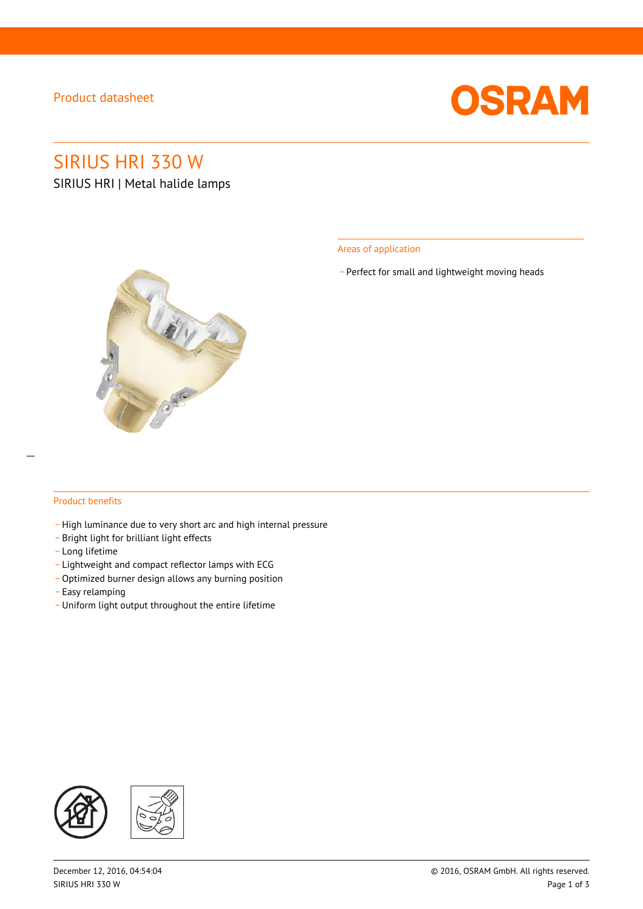### Product datasheet



# SIRIUS HRI 330 W

SIRIUS HRI | Metal halide lamps



Areas of application

\_ Perfect for small and lightweight moving heads

#### Product benefits

- \_ High luminance due to very short arc and high internal pressure
- \_ Bright light for brilliant light effects
- \_ Long lifetime
- \_ Lightweight and compact reflector lamps with ECG
- Optimized burner design allows any burning position
- \_ Easy relamping
- \_ Uniform light output throughout the entire lifetime

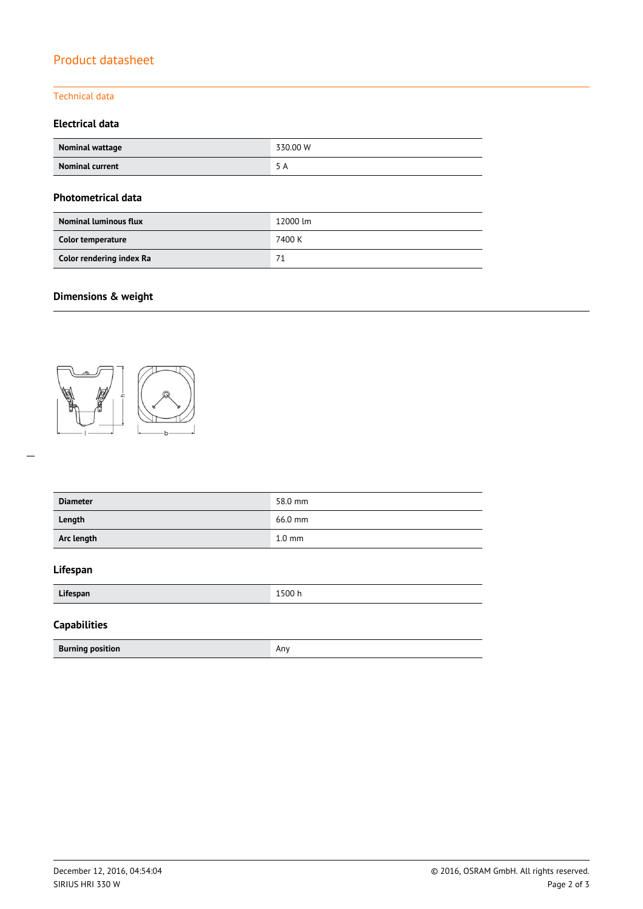# Product datasheet

### Technical data

### **Electrical data**

| <b>Nominal wattage</b> | 330.00 W |
|------------------------|----------|
| <b>Nominal current</b> | א ר      |

### **Photometrical data**

| <b>Nominal luminous flux</b> | 12000 lm |  |
|------------------------------|----------|--|
| Color temperature            | 7400 K   |  |
| Color rendering index Ra     | 71       |  |

## **Dimensions & weight**



| <b>Diameter</b> | 58.0 mm          |
|-----------------|------------------|
| Length          | 66.0 mm          |
| Arc length      | $1.0 \text{ mm}$ |

### **Lifespan**

| Lifespan                | 1500 h |  |
|-------------------------|--------|--|
| <b>Capabilities</b>     |        |  |
| <b>Burning position</b> | Anv    |  |